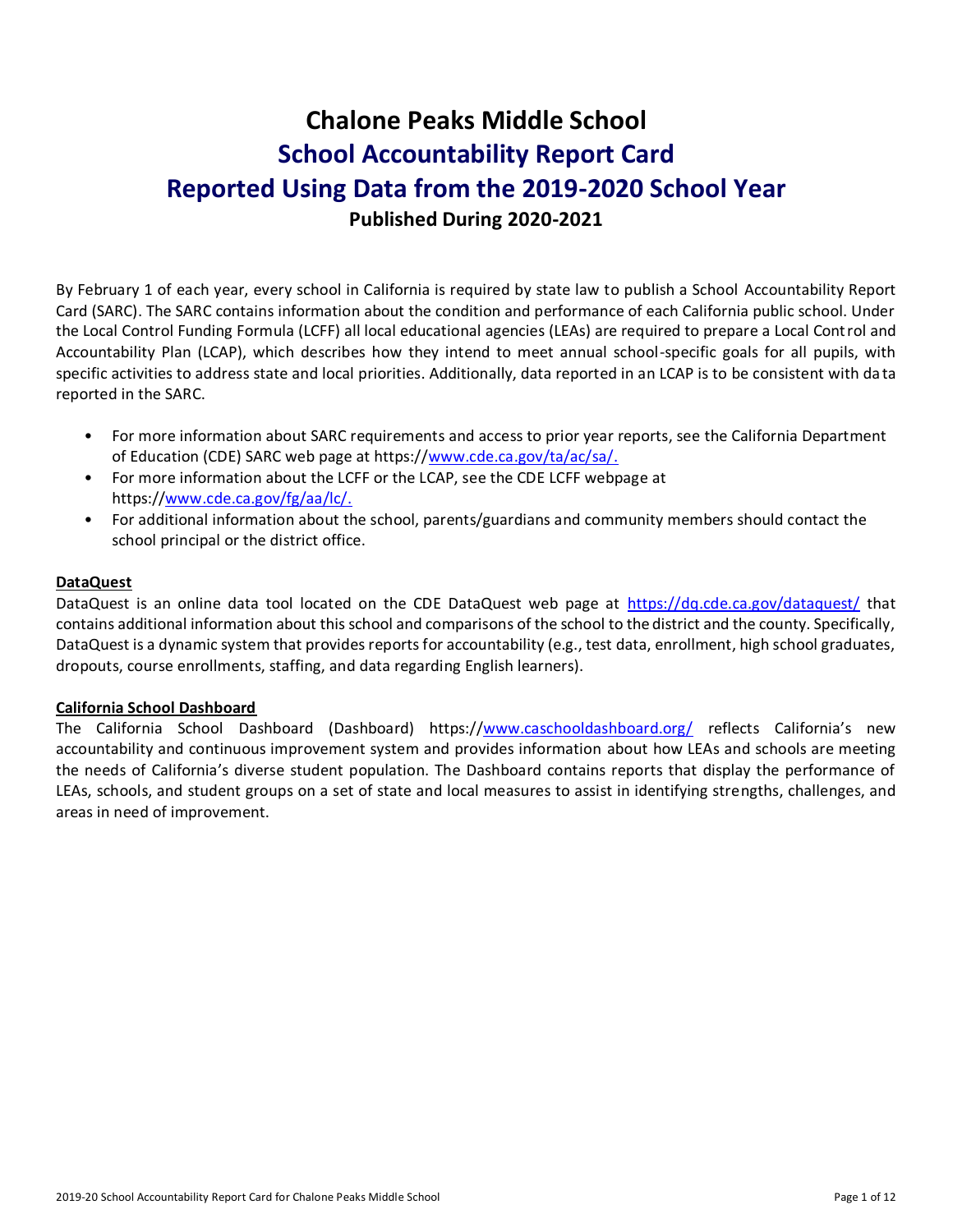# **Chalone Peaks Middle School School Accountability Report Card Reported Using Data from the 2019-2020 School Year Published During 2020-2021**

By February 1 of each year, every school in California is required by state law to publish a School Accountability Report Card (SARC). The SARC contains information about the condition and performance of each California public school. Under the Local Control Funding Formula (LCFF) all local educational agencies (LEAs) are required to prepare a Local Control and Accountability Plan (LCAP), which describes how they intend to meet annual school-specific goals for all pupils, with specific activities to address state and local priorities. Additionally, data reported in an LCAP is to be consistent with da ta reported in the SARC.

- For more information about SARC requirements and access to prior year reports, see the California Department of Education (CDE) SARC web page at https:/[/www.cde.ca.gov/ta/ac/sa/.](https://www.cde.ca.gov/ta/ac/sa/)
- For more information about the LCFF or the LCAP, see the CDE LCFF webpage at https:/[/www.cde.ca.gov/fg/aa/lc/.](https://www.cde.ca.gov/fg/aa/lc/)
- For additional information about the school, parents/guardians and community members should contact the school principal or the district office.

### **DataQuest**

DataQuest is an online data tool located on the CDE DataQuest web page at <https://dq.cde.ca.gov/dataquest/> that contains additional information about this school and comparisons of the school to the district and the county. Specifically, DataQuest is a dynamic system that provides reports for accountability (e.g., test data, enrollment, high school graduates, dropouts, course enrollments, staffing, and data regarding English learners).

### **California School Dashboard**

The California School Dashboard (Dashboard) https:/[/www.caschooldashboard.org/](https://www.caschooldashboard.org/) reflects California's new accountability and continuous improvement system and provides information about how LEAs and schools are meeting the needs of California's diverse student population. The Dashboard contains reports that display the performance of LEAs, schools, and student groups on a set of state and local measures to assist in identifying strengths, challenges, and areas in need of improvement.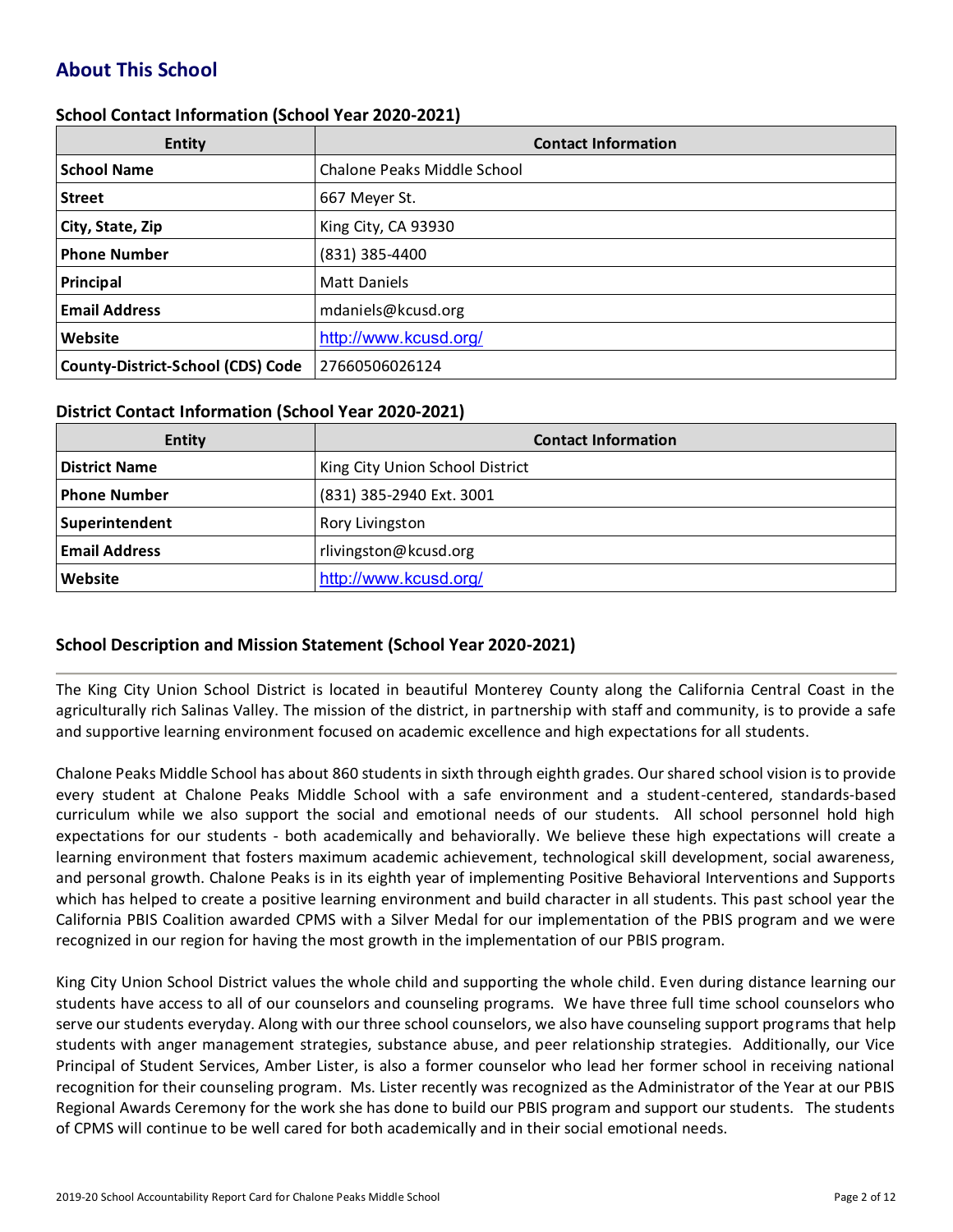# **About This School**

### **School Contact Information (School Year 2020-2021)**

| <b>Entity</b>                     | <b>Contact Information</b>  |
|-----------------------------------|-----------------------------|
| <b>School Name</b>                | Chalone Peaks Middle School |
| <b>Street</b>                     | 667 Meyer St.               |
| City, State, Zip                  | King City, CA 93930         |
| <b>Phone Number</b>               | (831) 385-4400              |
| Principal                         | <b>Matt Daniels</b>         |
| <b>Email Address</b>              | mdaniels@kcusd.org          |
| Website                           | http://www.kcusd.org/       |
| County-District-School (CDS) Code | 27660506026124              |

### **District Contact Information (School Year 2020-2021)**

| <b>Entity</b>        | <b>Contact Information</b>      |  |  |  |
|----------------------|---------------------------------|--|--|--|
| <b>District Name</b> | King City Union School District |  |  |  |
| <b>Phone Number</b>  | (831) 385-2940 Ext. 3001        |  |  |  |
| Superintendent       | Rory Livingston                 |  |  |  |
| <b>Email Address</b> | rlivingston@kcusd.org           |  |  |  |
| Website              | http://www.kcusd.org/           |  |  |  |

# **School Description and Mission Statement (School Year 2020-2021)**

The King City Union School District is located in beautiful Monterey County along the California Central Coast in the agriculturally rich Salinas Valley. The mission of the district, in partnership with staff and community, is to provide a safe and supportive learning environment focused on academic excellence and high expectations for all students.

Chalone Peaks Middle School has about 860 students in sixth through eighth grades. Our shared school vision is to provide every student at Chalone Peaks Middle School with a safe environment and a student-centered, standards-based curriculum while we also support the social and emotional needs of our students. All school personnel hold high expectations for our students - both academically and behaviorally. We believe these high expectations will create a learning environment that fosters maximum academic achievement, technological skill development, social awareness, and personal growth. Chalone Peaks is in its eighth year of implementing Positive Behavioral Interventions and Supports which has helped to create a positive learning environment and build character in all students. This past school year the California PBIS Coalition awarded CPMS with a Silver Medal for our implementation of the PBIS program and we were recognized in our region for having the most growth in the implementation of our PBIS program.

King City Union School District values the whole child and supporting the whole child. Even during distance learning our students have access to all of our counselors and counseling programs. We have three full time school counselors who serve our students everyday. Along with our three school counselors, we also have counseling support programs that help students with anger management strategies, substance abuse, and peer relationship strategies. Additionally, our Vice Principal of Student Services, Amber Lister, is also a former counselor who lead her former school in receiving national recognition for their counseling program. Ms. Lister recently was recognized as the Administrator of the Year at our PBIS Regional Awards Ceremony for the work she has done to build our PBIS program and support our students. The students of CPMS will continue to be well cared for both academically and in their social emotional needs.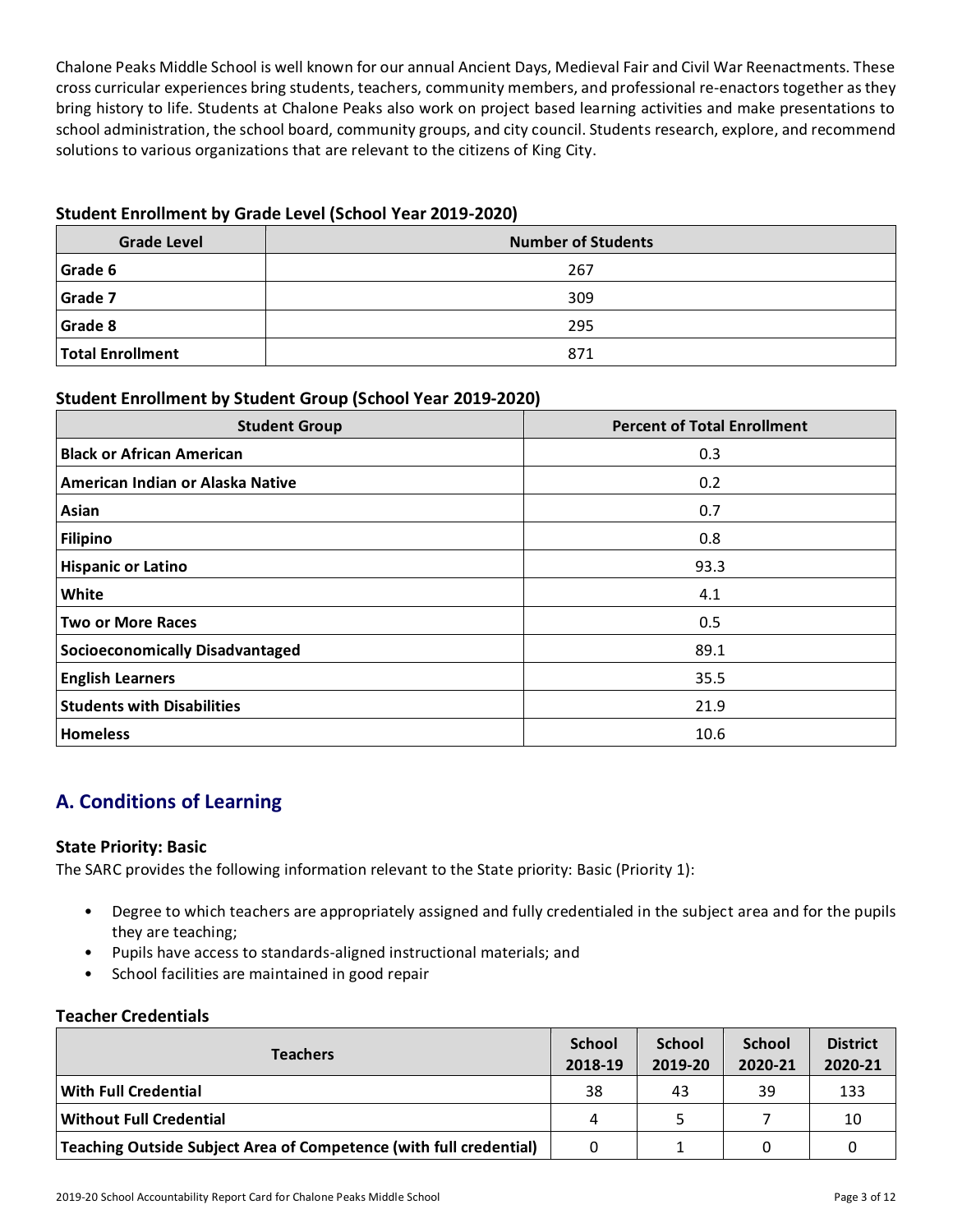Chalone Peaks Middle School is well known for our annual Ancient Days, Medieval Fair and Civil War Reenactments. These cross curricular experiences bring students, teachers, community members, and professional re-enactors together as they bring history to life. Students at Chalone Peaks also work on project based learning activities and make presentations to school administration, the school board, community groups, and city council. Students research, explore, and recommend solutions to various organizations that are relevant to the citizens of King City.

# **Student Enrollment by Grade Level (School Year 2019-2020)**

| <b>Grade Level</b>      | <b>Number of Students</b> |
|-------------------------|---------------------------|
| Grade 6                 | 267                       |
| Grade 7                 | 309                       |
| Grade 8                 | 295                       |
| <b>Total Enrollment</b> | 871                       |

# **Student Enrollment by Student Group (School Year 2019-2020)**

| <b>Student Group</b>                   | <b>Percent of Total Enrollment</b> |
|----------------------------------------|------------------------------------|
| <b>Black or African American</b>       | 0.3                                |
| American Indian or Alaska Native       | 0.2                                |
| Asian                                  | 0.7                                |
| <b>Filipino</b>                        | 0.8                                |
| <b>Hispanic or Latino</b>              | 93.3                               |
| White                                  | 4.1                                |
| <b>Two or More Races</b>               | 0.5                                |
| <b>Socioeconomically Disadvantaged</b> | 89.1                               |
| <b>English Learners</b>                | 35.5                               |
| <b>Students with Disabilities</b>      | 21.9                               |
| <b>Homeless</b>                        | 10.6                               |

# **A. Conditions of Learning**

# **State Priority: Basic**

The SARC provides the following information relevant to the State priority: Basic (Priority 1):

- Degree to which teachers are appropriately assigned and fully credentialed in the subject area and for the pupils they are teaching;
- Pupils have access to standards-aligned instructional materials; and
- School facilities are maintained in good repair

# **Teacher Credentials**

| <b>Teachers</b>                                                    |    | <b>School</b><br>2019-20 | <b>School</b><br>2020-21 | <b>District</b><br>2020-21 |
|--------------------------------------------------------------------|----|--------------------------|--------------------------|----------------------------|
| With Full Credential                                               | 38 | 43                       | 39                       | 133                        |
| <b>Without Full Credential</b>                                     | 4  |                          |                          | 10                         |
| Teaching Outside Subject Area of Competence (with full credential) | 0  |                          |                          |                            |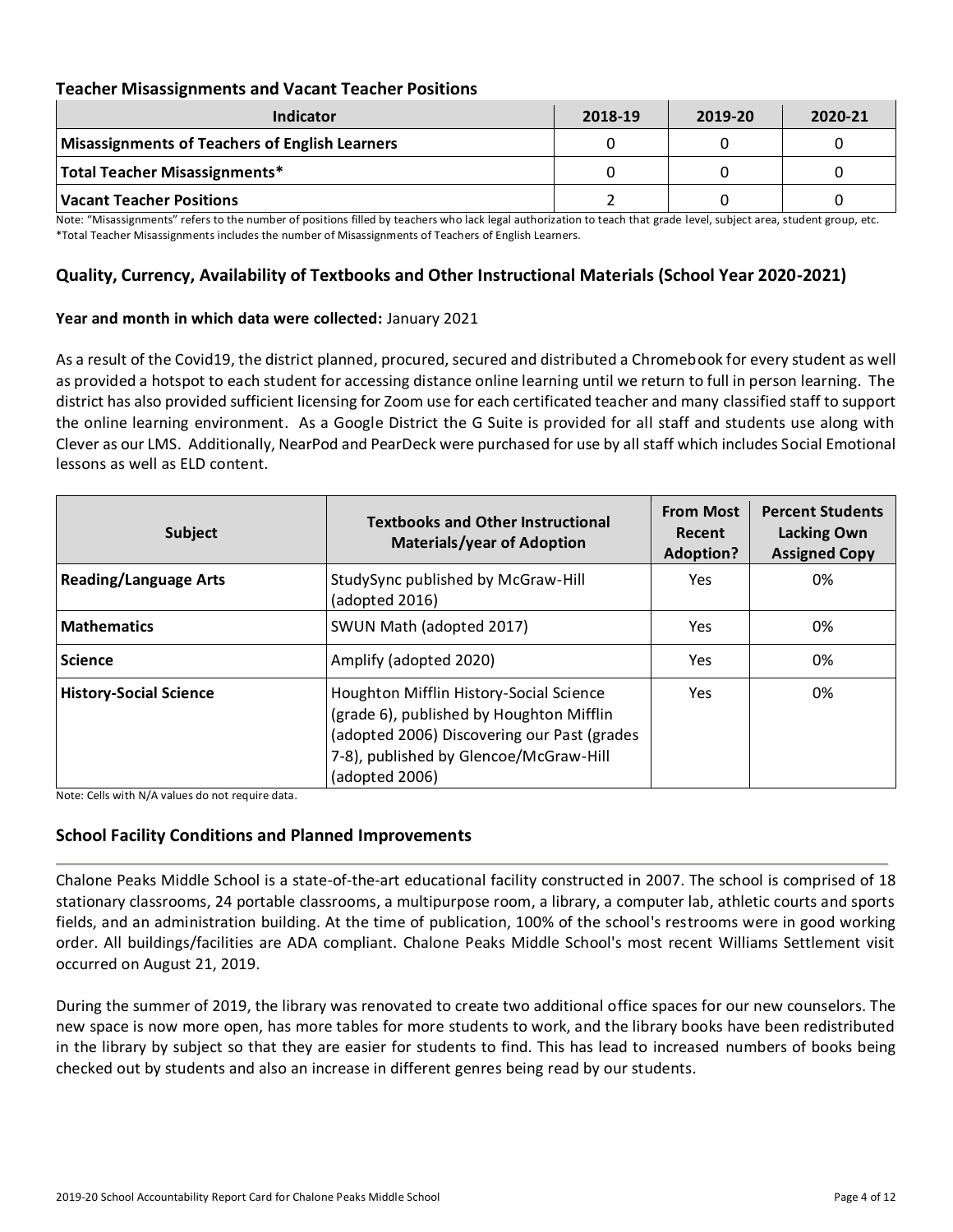### **Teacher Misassignments and Vacant Teacher Positions**

| Indicator                                      | 2018-19 | 2019-20 | 2020-21 |
|------------------------------------------------|---------|---------|---------|
| Misassignments of Teachers of English Learners |         |         |         |
| Total Teacher Misassignments*                  |         |         |         |
| Vacant Teacher Positions                       |         |         |         |

Note: "Misassignments" refers to the number of positions filled by teachers who lack legal authorization to teach that grade level, subject area, student group, etc. \*Total Teacher Misassignments includes the number of Misassignments of Teachers of English Learners.

### **Quality, Currency, Availability of Textbooks and Other Instructional Materials (School Year 2020-2021)**

#### **Year and month in which data were collected:** January 2021

As a result of the Covid19, the district planned, procured, secured and distributed a Chromebook for every student as well as provided a hotspot to each student for accessing distance online learning until we return to full in person learning. The district has also provided sufficient licensing for Zoom use for each certificated teacher and many classified staff to support the online learning environment. As a Google District the G Suite is provided for all staff and students use along with Clever as our LMS. Additionally, NearPod and PearDeck were purchased for use by all staff which includes Social Emotional lessons as well as ELD content.

| <b>Subject</b>                | <b>Textbooks and Other Instructional</b><br><b>Materials/year of Adoption</b>                                                                                                                  | <b>From Most</b><br>Recent<br>Adoption? | <b>Percent Students</b><br>Lacking Own<br><b>Assigned Copy</b> |
|-------------------------------|------------------------------------------------------------------------------------------------------------------------------------------------------------------------------------------------|-----------------------------------------|----------------------------------------------------------------|
| <b>Reading/Language Arts</b>  | StudySync published by McGraw-Hill<br>(adopted 2016)                                                                                                                                           | <b>Yes</b>                              | 0%                                                             |
| <b>Mathematics</b>            | SWUN Math (adopted 2017)                                                                                                                                                                       | <b>Yes</b>                              | 0%                                                             |
| <b>Science</b>                | Amplify (adopted 2020)                                                                                                                                                                         | <b>Yes</b>                              | 0%                                                             |
| <b>History-Social Science</b> | Houghton Mifflin History-Social Science<br>(grade 6), published by Houghton Mifflin<br>(adopted 2006) Discovering our Past (grades<br>7-8), published by Glencoe/McGraw-Hill<br>(adopted 2006) | Yes.                                    | 0%                                                             |

Note: Cells with N/A values do not require data.

### **School Facility Conditions and Planned Improvements**

Chalone Peaks Middle School is a state-of-the-art educational facility constructed in 2007. The school is comprised of 18 stationary classrooms, 24 portable classrooms, a multipurpose room, a library, a computer lab, athletic courts and sports fields, and an administration building. At the time of publication, 100% of the school's restrooms were in good working order. All buildings/facilities are ADA compliant. Chalone Peaks Middle School's most recent Williams Settlement visit occurred on August 21, 2019.

During the summer of 2019, the library was renovated to create two additional office spaces for our new counselors. The new space is now more open, has more tables for more students to work, and the library books have been redistributed in the library by subject so that they are easier for students to find. This has lead to increased numbers of books being checked out by students and also an increase in different genres being read by our students.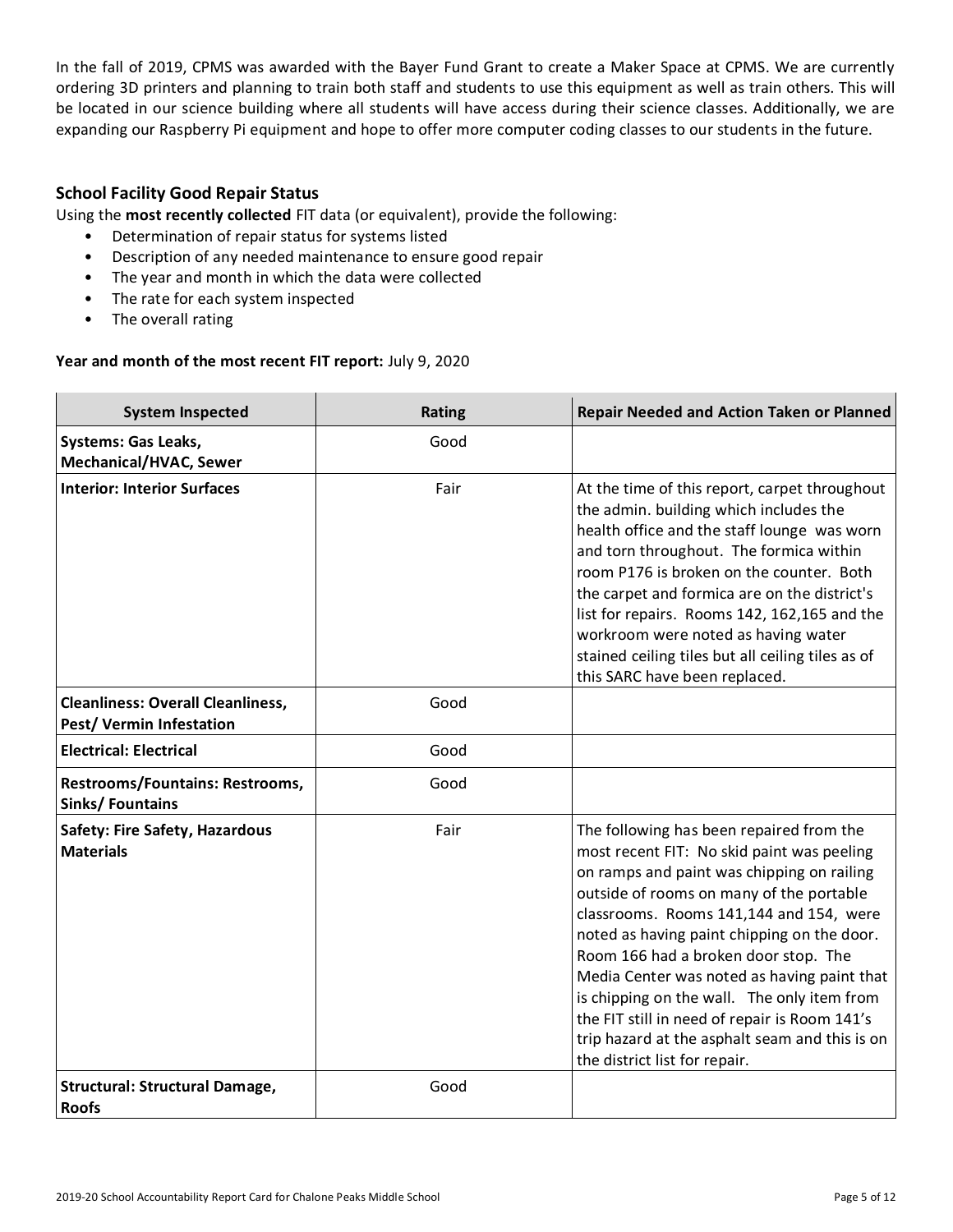In the fall of 2019, CPMS was awarded with the Bayer Fund Grant to create a Maker Space at CPMS. We are currently ordering 3D printers and planning to train both staff and students to use this equipment as well as train others. This will be located in our science building where all students will have access during their science classes. Additionally, we are expanding our Raspberry Pi equipment and hope to offer more computer coding classes to our students in the future.

# **School Facility Good Repair Status**

Using the **most recently collected** FIT data (or equivalent), provide the following:

- Determination of repair status for systems listed
- Description of any needed maintenance to ensure good repair
- The year and month in which the data were collected
- The rate for each system inspected
- The overall rating

### **Year and month of the most recent FIT report:** July 9, 2020

| <b>System Inspected</b>                                             | <b>Rating</b> | Repair Needed and Action Taken or Planned                                                                                                                                                                                                                                                                                                                                                                                                                                                                                                            |
|---------------------------------------------------------------------|---------------|------------------------------------------------------------------------------------------------------------------------------------------------------------------------------------------------------------------------------------------------------------------------------------------------------------------------------------------------------------------------------------------------------------------------------------------------------------------------------------------------------------------------------------------------------|
| <b>Systems: Gas Leaks,</b><br>Mechanical/HVAC, Sewer                | Good          |                                                                                                                                                                                                                                                                                                                                                                                                                                                                                                                                                      |
| <b>Interior: Interior Surfaces</b>                                  | Fair          | At the time of this report, carpet throughout<br>the admin. building which includes the<br>health office and the staff lounge was worn<br>and torn throughout. The formica within<br>room P176 is broken on the counter. Both<br>the carpet and formica are on the district's<br>list for repairs. Rooms 142, 162,165 and the<br>workroom were noted as having water<br>stained ceiling tiles but all ceiling tiles as of<br>this SARC have been replaced.                                                                                           |
| <b>Cleanliness: Overall Cleanliness,</b><br>Pest/Vermin Infestation | Good          |                                                                                                                                                                                                                                                                                                                                                                                                                                                                                                                                                      |
| <b>Electrical: Electrical</b>                                       | Good          |                                                                                                                                                                                                                                                                                                                                                                                                                                                                                                                                                      |
| Restrooms/Fountains: Restrooms,<br><b>Sinks/Fountains</b>           | Good          |                                                                                                                                                                                                                                                                                                                                                                                                                                                                                                                                                      |
| Safety: Fire Safety, Hazardous<br><b>Materials</b>                  | Fair          | The following has been repaired from the<br>most recent FIT: No skid paint was peeling<br>on ramps and paint was chipping on railing<br>outside of rooms on many of the portable<br>classrooms. Rooms 141,144 and 154, were<br>noted as having paint chipping on the door.<br>Room 166 had a broken door stop. The<br>Media Center was noted as having paint that<br>is chipping on the wall. The only item from<br>the FIT still in need of repair is Room 141's<br>trip hazard at the asphalt seam and this is on<br>the district list for repair. |
| <b>Structural: Structural Damage,</b><br><b>Roofs</b>               | Good          |                                                                                                                                                                                                                                                                                                                                                                                                                                                                                                                                                      |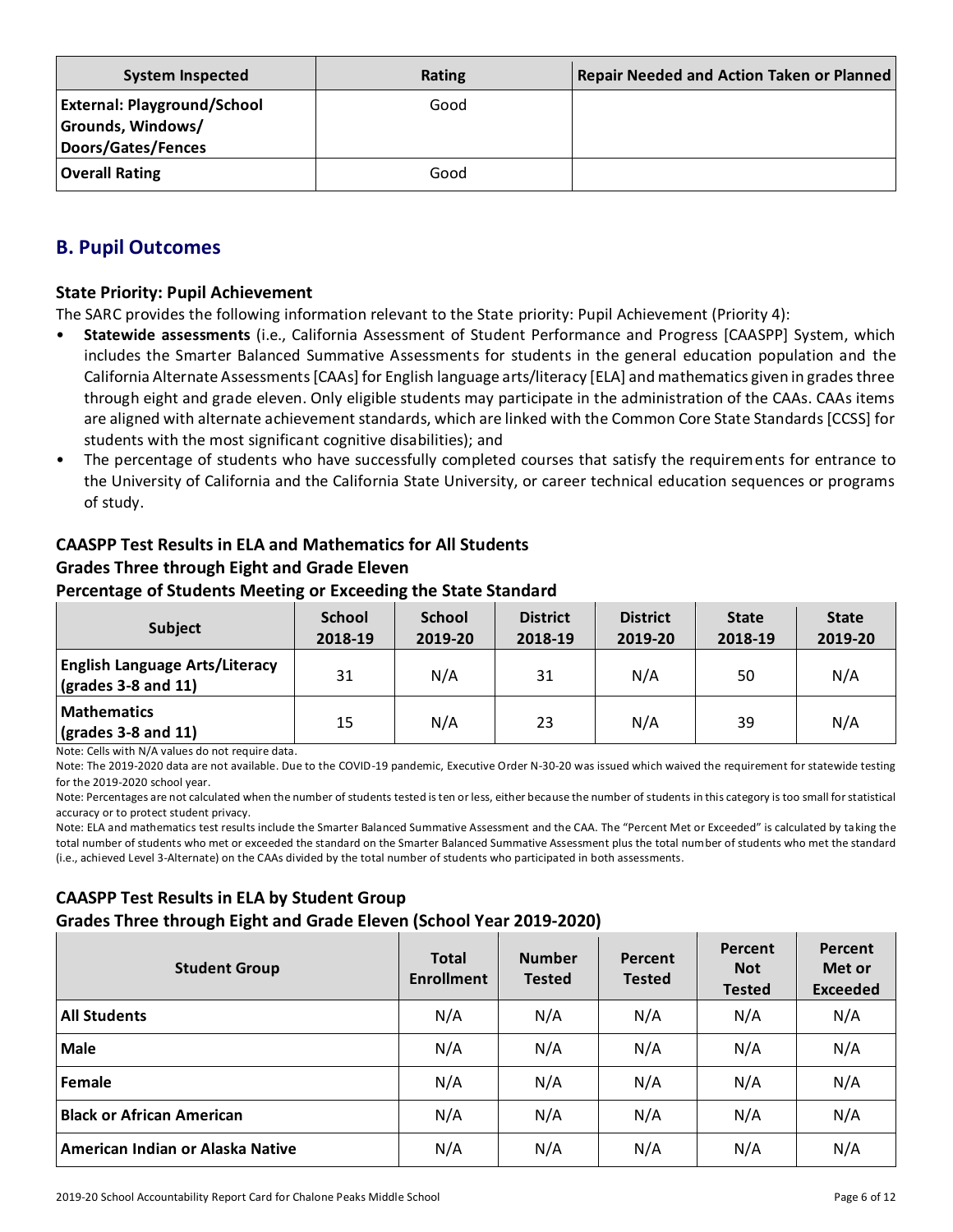| <b>System Inspected</b>                                                              | Rating | <b>Repair Needed and Action Taken or Planned</b> |
|--------------------------------------------------------------------------------------|--------|--------------------------------------------------|
| <b>External: Playground/School</b><br>Grounds, Windows/<br><b>Doors/Gates/Fences</b> | Good   |                                                  |
| <b>Overall Rating</b>                                                                | Good   |                                                  |

# **B. Pupil Outcomes**

### **State Priority: Pupil Achievement**

The SARC provides the following information relevant to the State priority: Pupil Achievement (Priority 4):

- **Statewide assessments** (i.e., California Assessment of Student Performance and Progress [CAASPP] System, which includes the Smarter Balanced Summative Assessments for students in the general education population and the California Alternate Assessments [CAAs] for English language arts/literacy [ELA] and mathematics given in grades three through eight and grade eleven. Only eligible students may participate in the administration of the CAAs. CAAs items are aligned with alternate achievement standards, which are linked with the Common Core State Standards [CCSS] for students with the most significant cognitive disabilities); and
- The percentage of students who have successfully completed courses that satisfy the requirements for entrance to the University of California and the California State University, or career technical education sequences or programs of study.

# **CAASPP Test Results in ELA and Mathematics for All Students Grades Three through Eight and Grade Eleven**

### **Percentage of Students Meeting or Exceeding the State Standard**

| <b>Subject</b>                                                       | <b>School</b><br>2018-19 | <b>School</b><br>2019-20 | <b>District</b><br>2018-19 | <b>District</b><br>2019-20 | <b>State</b><br>2018-19 | <b>State</b><br>2019-20 |
|----------------------------------------------------------------------|--------------------------|--------------------------|----------------------------|----------------------------|-------------------------|-------------------------|
| <b>English Language Arts/Literacy</b><br>$\vert$ (grades 3-8 and 11) | 31                       | N/A                      | 31                         | N/A                        | 50                      | N/A                     |
| <b>Mathematics</b><br>$\vert$ (grades 3-8 and 11)                    | 15                       | N/A                      | 23                         | N/A                        | 39                      | N/A                     |

Note: Cells with N/A values do not require data.

Note: The 2019-2020 data are not available. Due to the COVID-19 pandemic, Executive Order N-30-20 was issued which waived the requirement for statewide testing for the 2019-2020 school year.

Note: Percentages are not calculated when the number of students tested is ten or less, either because the number of students in this category is too small for statistical accuracy or to protect student privacy.

Note: ELA and mathematics test results include the Smarter Balanced Summative Assessment and the CAA. The "Percent Met or Exceeded" is calculated by taking the total number of students who met or exceeded the standard on the Smarter Balanced Summative Assessment plus the total number of students who met the standard (i.e., achieved Level 3-Alternate) on the CAAs divided by the total number of students who participated in both assessments.

# **CAASPP Test Results in ELA by Student Group Grades Three through Eight and Grade Eleven (School Year 2019-2020)**

| <b>Student Group</b>             | <b>Total</b><br><b>Enrollment</b> | <b>Number</b><br><b>Tested</b> | Percent<br><b>Tested</b> | Percent<br><b>Not</b><br><b>Tested</b> | Percent<br>Met or<br><b>Exceeded</b> |
|----------------------------------|-----------------------------------|--------------------------------|--------------------------|----------------------------------------|--------------------------------------|
| <b>All Students</b>              | N/A                               | N/A                            | N/A                      | N/A                                    | N/A                                  |
| <b>Male</b>                      | N/A                               | N/A                            | N/A                      | N/A                                    | N/A                                  |
| Female                           | N/A                               | N/A                            | N/A                      | N/A                                    | N/A                                  |
| <b>Black or African American</b> | N/A                               | N/A                            | N/A                      | N/A                                    | N/A                                  |
| American Indian or Alaska Native | N/A                               | N/A                            | N/A                      | N/A                                    | N/A                                  |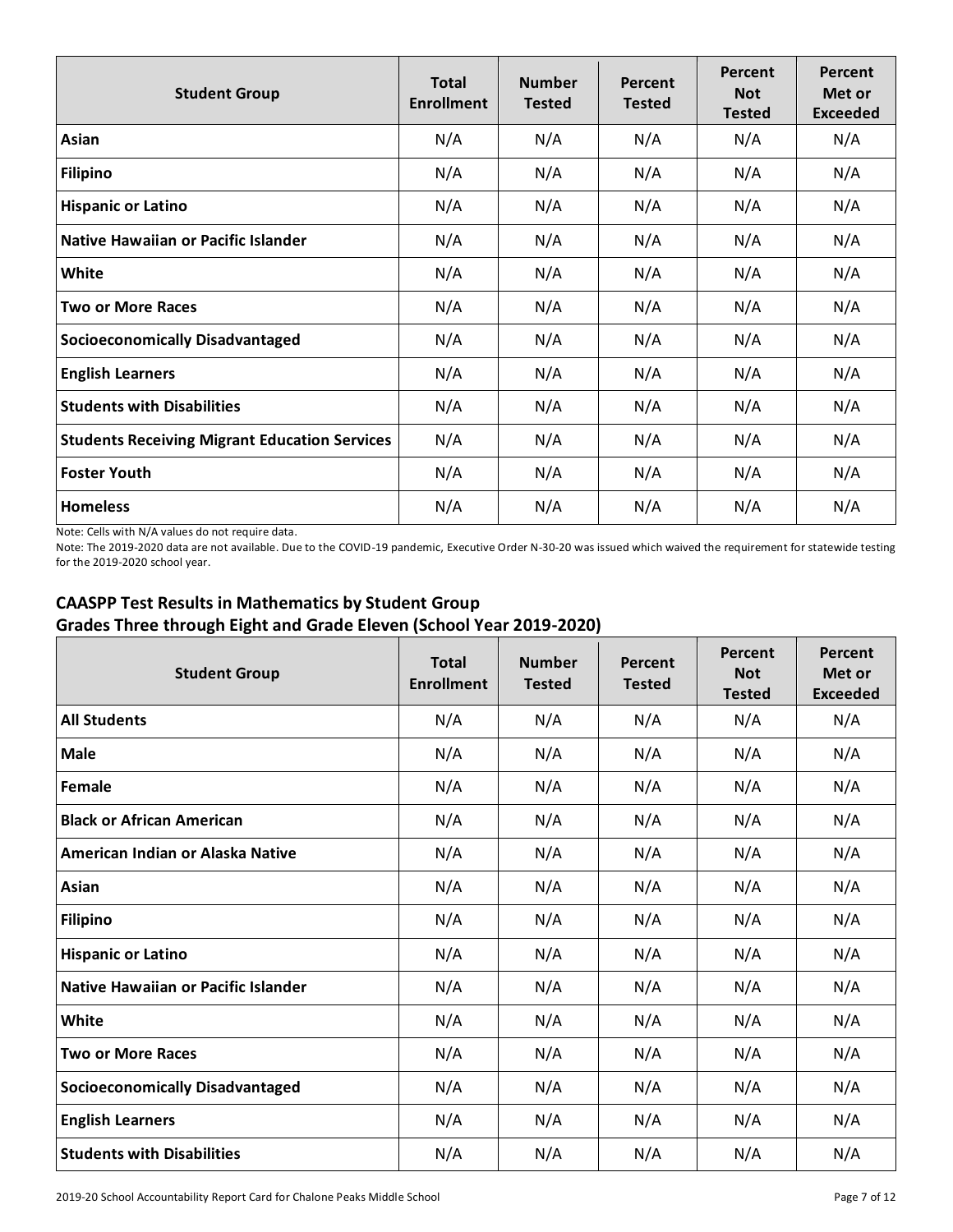| <b>Student Group</b>                                 | <b>Total</b><br><b>Enrollment</b> | <b>Number</b><br><b>Tested</b> | Percent<br><b>Tested</b> | Percent<br><b>Not</b><br><b>Tested</b> | Percent<br>Met or<br><b>Exceeded</b> |
|------------------------------------------------------|-----------------------------------|--------------------------------|--------------------------|----------------------------------------|--------------------------------------|
| Asian                                                | N/A                               | N/A                            | N/A                      | N/A                                    | N/A                                  |
| <b>Filipino</b>                                      | N/A                               | N/A                            | N/A                      | N/A                                    | N/A                                  |
| <b>Hispanic or Latino</b>                            | N/A                               | N/A                            | N/A                      | N/A                                    | N/A                                  |
| Native Hawaiian or Pacific Islander                  | N/A                               | N/A                            | N/A                      | N/A                                    | N/A                                  |
| White                                                | N/A                               | N/A                            | N/A                      | N/A                                    | N/A                                  |
| <b>Two or More Races</b>                             | N/A                               | N/A                            | N/A                      | N/A                                    | N/A                                  |
| <b>Socioeconomically Disadvantaged</b>               | N/A                               | N/A                            | N/A                      | N/A                                    | N/A                                  |
| <b>English Learners</b>                              | N/A                               | N/A                            | N/A                      | N/A                                    | N/A                                  |
| <b>Students with Disabilities</b>                    | N/A                               | N/A                            | N/A                      | N/A                                    | N/A                                  |
| <b>Students Receiving Migrant Education Services</b> | N/A                               | N/A                            | N/A                      | N/A                                    | N/A                                  |
| <b>Foster Youth</b>                                  | N/A                               | N/A                            | N/A                      | N/A                                    | N/A                                  |
| <b>Homeless</b>                                      | N/A                               | N/A                            | N/A                      | N/A                                    | N/A                                  |

Note: Cells with N/A values do not require data.

Note: The 2019-2020 data are not available. Due to the COVID-19 pandemic, Executive Order N-30-20 was issued which waived the requirement for statewide testing for the 2019-2020 school year.

# **CAASPP Test Results in Mathematics by Student Group Grades Three through Eight and Grade Eleven (School Year 2019-2020)**

| <b>Student Group</b>                   | <b>Total</b><br><b>Enrollment</b> | <b>Number</b><br><b>Tested</b> | Percent<br><b>Tested</b> | <b>Percent</b><br><b>Not</b><br><b>Tested</b> | Percent<br>Met or<br><b>Exceeded</b> |
|----------------------------------------|-----------------------------------|--------------------------------|--------------------------|-----------------------------------------------|--------------------------------------|
| <b>All Students</b>                    | N/A                               | N/A                            | N/A                      | N/A                                           | N/A                                  |
| <b>Male</b>                            | N/A                               | N/A                            | N/A                      | N/A                                           | N/A                                  |
| Female                                 | N/A                               | N/A                            | N/A                      | N/A                                           | N/A                                  |
| <b>Black or African American</b>       | N/A                               | N/A                            | N/A                      | N/A                                           | N/A                                  |
| American Indian or Alaska Native       | N/A                               | N/A                            | N/A                      | N/A                                           | N/A                                  |
| Asian                                  | N/A                               | N/A                            | N/A                      | N/A                                           | N/A                                  |
| <b>Filipino</b>                        | N/A                               | N/A                            | N/A                      | N/A                                           | N/A                                  |
| <b>Hispanic or Latino</b>              | N/A                               | N/A                            | N/A                      | N/A                                           | N/A                                  |
| Native Hawaiian or Pacific Islander    | N/A                               | N/A                            | N/A                      | N/A                                           | N/A                                  |
| White                                  | N/A                               | N/A                            | N/A                      | N/A                                           | N/A                                  |
| <b>Two or More Races</b>               | N/A                               | N/A                            | N/A                      | N/A                                           | N/A                                  |
| <b>Socioeconomically Disadvantaged</b> | N/A                               | N/A                            | N/A                      | N/A                                           | N/A                                  |
| <b>English Learners</b>                | N/A                               | N/A                            | N/A                      | N/A                                           | N/A                                  |
| <b>Students with Disabilities</b>      | N/A                               | N/A                            | N/A                      | N/A                                           | N/A                                  |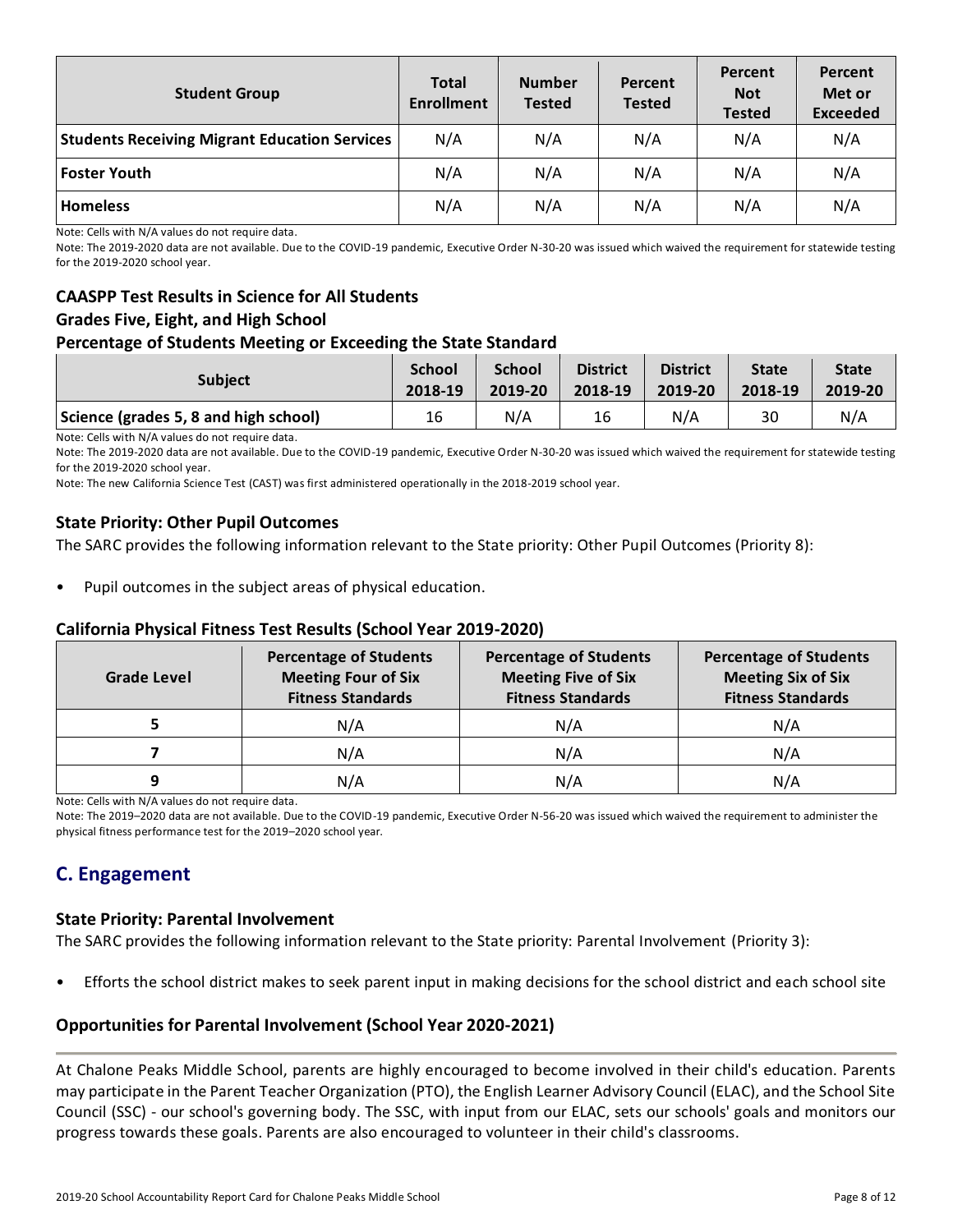| <b>Student Group</b>                                 | <b>Total</b><br><b>Enrollment</b> | <b>Number</b><br><b>Tested</b> | Percent<br><b>Tested</b> | Percent<br><b>Not</b><br><b>Tested</b> | Percent<br>Met or<br><b>Exceeded</b> |
|------------------------------------------------------|-----------------------------------|--------------------------------|--------------------------|----------------------------------------|--------------------------------------|
| <b>Students Receiving Migrant Education Services</b> | N/A                               | N/A                            | N/A                      | N/A                                    | N/A                                  |
| <b>Foster Youth</b>                                  | N/A                               | N/A                            | N/A                      | N/A                                    | N/A                                  |
| <b>Homeless</b>                                      | N/A                               | N/A                            | N/A                      | N/A                                    | N/A                                  |

Note: Cells with N/A values do not require data.

Note: The 2019-2020 data are not available. Due to the COVID-19 pandemic, Executive Order N-30-20 was issued which waived the requirement for statewide testing for the 2019-2020 school year.

# **CAASPP Test Results in Science for All Students Grades Five, Eight, and High School**

### **Percentage of Students Meeting or Exceeding the State Standard**

| <b>Subject</b>                        | <b>School</b> | <b>School</b> | <b>District</b> | <b>District</b> | <b>State</b> | <b>State</b> |
|---------------------------------------|---------------|---------------|-----------------|-----------------|--------------|--------------|
|                                       | 2018-19       | 2019-20       | 2018-19         | 2019-20         | 2018-19      | 2019-20      |
| Science (grades 5, 8 and high school) | 16            | N/A           | 16              | N/A             | 30           | N/A          |

Note: Cells with N/A values do not require data.

Note: The 2019-2020 data are not available. Due to the COVID-19 pandemic, Executive Order N-30-20 was issued which waived the requirement for statewide testing for the 2019-2020 school year.

Note: The new California Science Test (CAST) was first administered operationally in the 2018-2019 school year.

### **State Priority: Other Pupil Outcomes**

The SARC provides the following information relevant to the State priority: Other Pupil Outcomes (Priority 8):

Pupil outcomes in the subject areas of physical education.

### **California Physical Fitness Test Results (School Year 2019-2020)**

| Grade Level | <b>Percentage of Students</b><br><b>Meeting Four of Six</b><br><b>Fitness Standards</b> | <b>Percentage of Students</b><br><b>Meeting Five of Six</b><br><b>Fitness Standards</b> | <b>Percentage of Students</b><br><b>Meeting Six of Six</b><br><b>Fitness Standards</b> |  |
|-------------|-----------------------------------------------------------------------------------------|-----------------------------------------------------------------------------------------|----------------------------------------------------------------------------------------|--|
|             | N/A                                                                                     | N/A                                                                                     | N/A                                                                                    |  |
|             | N/A                                                                                     | N/A                                                                                     | N/A                                                                                    |  |
| q           | N/A                                                                                     | N/A                                                                                     | N/A                                                                                    |  |

Note: Cells with N/A values do not require data.

Note: The 2019–2020 data are not available. Due to the COVID-19 pandemic, Executive Order N-56-20 was issued which waived the requirement to administer the physical fitness performance test for the 2019–2020 school year.

# **C. Engagement**

#### **State Priority: Parental Involvement**

The SARC provides the following information relevant to the State priority: Parental Involvement (Priority 3):

• Efforts the school district makes to seek parent input in making decisions for the school district and each school site

### **Opportunities for Parental Involvement (School Year 2020-2021)**

At Chalone Peaks Middle School, parents are highly encouraged to become involved in their child's education. Parents may participate in the Parent Teacher Organization (PTO), the English Learner Advisory Council (ELAC), and the School Site Council (SSC) - our school's governing body. The SSC, with input from our ELAC, sets our schools' goals and monitors our progress towards these goals. Parents are also encouraged to volunteer in their child's classrooms.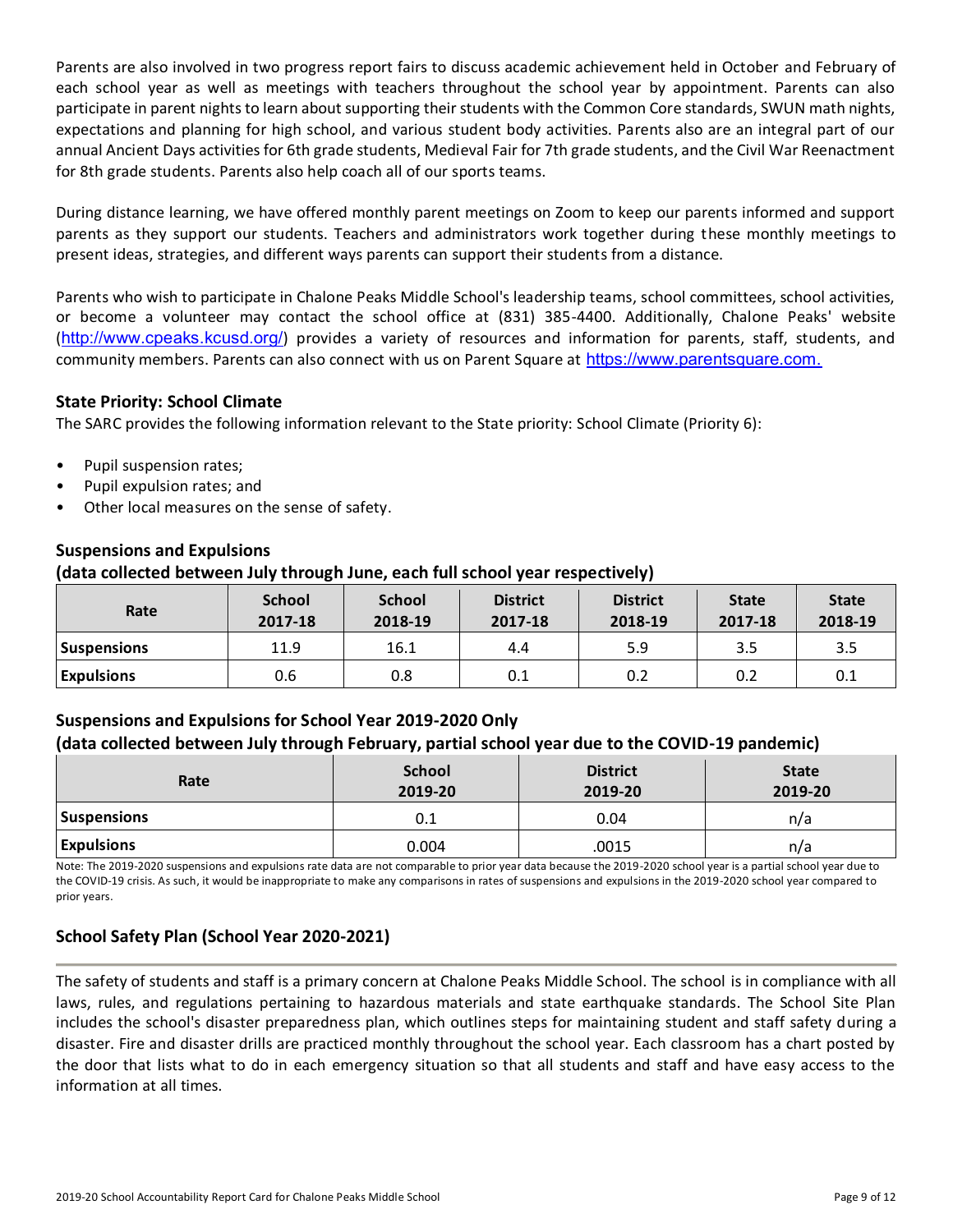Parents are also involved in two progress report fairs to discuss academic achievement held in October and February of each school year as well as meetings with teachers throughout the school year by appointment. Parents can also participate in parent nights to learn about supporting their students with the Common Core standards, SWUN math nights, expectations and planning for high school, and various student body activities. Parents also are an integral part of our annual Ancient Days activities for 6th grade students, Medieval Fair for 7th grade students, and the Civil War Reenactment for 8th grade students. Parents also help coach all of our sports teams.

During distance learning, we have offered monthly parent meetings on Zoom to keep our parents informed and support parents as they support our students. Teachers and administrators work together during these monthly meetings to present ideas, strategies, and different ways parents can support their students from a distance.

Parents who wish to participate in Chalone Peaks Middle School's leadership teams, school committees, school activities, or become a volunteer may contact the school office at (831) 385-4400. Additionally, Chalone Peaks' website (<http://www.cpeaks.kcusd.org/>) provides a variety of resources and information for parents, staff, students, and community members. Parents can also connect with us on Parent Square at [https://www.parentsquare.com.](https://www.parentsquare.com./)

# **State Priority: School Climate**

The SARC provides the following information relevant to the State priority: School Climate (Priority 6):

- Pupil suspension rates;
- Pupil expulsion rates; and
- Other local measures on the sense of safety.

### **Suspensions and Expulsions**

### **(data collected between July through June, each full school year respectively)**

| Rate               | <b>School</b><br>2017-18 | <b>School</b><br>2018-19 | <b>District</b><br>2017-18 | <b>District</b><br>2018-19 | <b>State</b><br>2017-18 | <b>State</b><br>2018-19 |
|--------------------|--------------------------|--------------------------|----------------------------|----------------------------|-------------------------|-------------------------|
| <b>Suspensions</b> | 11.9                     | 16.1                     | 4.4                        | 5.9                        | 3.5                     | 3.5                     |
| <b>Expulsions</b>  | 0.6                      | 0.8                      | 0.1                        | 0.2                        | 0.2                     | 0.1                     |

# **Suspensions and Expulsions for School Year 2019-2020 Only (data collected between July through February, partial school year due to the COVID-19 pandemic)**

| Rate               | <b>School</b><br>2019-20 | <b>District</b><br>2019-20 | <b>State</b><br>2019-20 |
|--------------------|--------------------------|----------------------------|-------------------------|
| <b>Suspensions</b> | 0.1                      | 0.04                       | n/a                     |
| <b>Expulsions</b>  | 0.004                    | .0015                      | n/a                     |

Note: The 2019-2020 suspensions and expulsions rate data are not comparable to prior year data because the 2019-2020 school year is a partial school year due to the COVID-19 crisis. As such, it would be inappropriate to make any comparisons in rates of suspensions and expulsions in the 2019-2020 school year compared to prior years.

# **School Safety Plan (School Year 2020-2021)**

The safety of students and staff is a primary concern at Chalone Peaks Middle School. The school is in compliance with all laws, rules, and regulations pertaining to hazardous materials and state earthquake standards. The School Site Plan includes the school's disaster preparedness plan, which outlines steps for maintaining student and staff safety during a disaster. Fire and disaster drills are practiced monthly throughout the school year. Each classroom has a chart posted by the door that lists what to do in each emergency situation so that all students and staff and have easy access to the information at all times.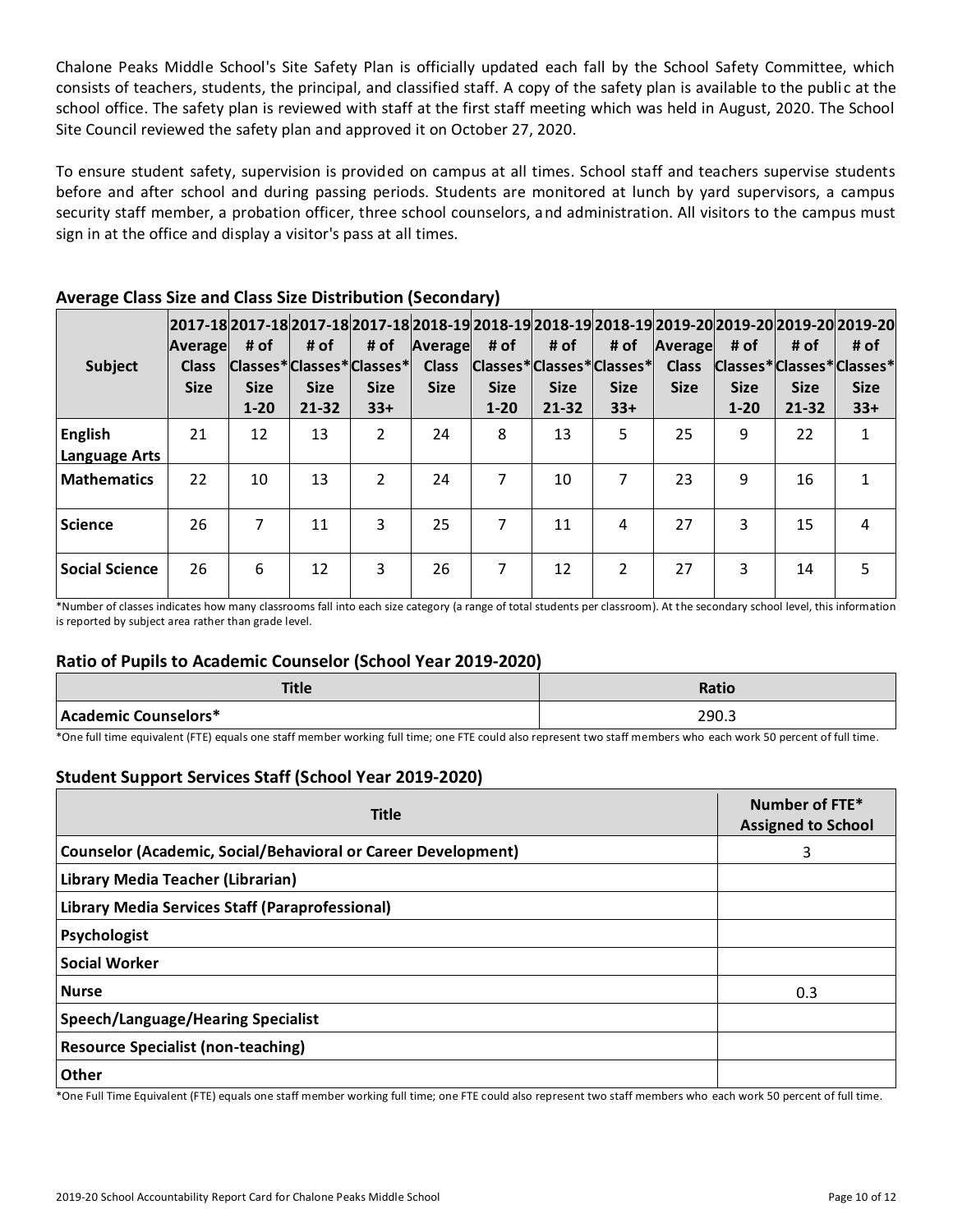Chalone Peaks Middle School's Site Safety Plan is officially updated each fall by the School Safety Committee, which consists of teachers, students, the principal, and classified staff. A copy of the safety plan is available to the publi c at the school office. The safety plan is reviewed with staff at the first staff meeting which was held in August, 2020. The School Site Council reviewed the safety plan and approved it on October 27, 2020.

To ensure student safety, supervision is provided on campus at all times. School staff and teachers supervise students before and after school and during passing periods. Students are monitored at lunch by yard supervisors, a campus security staff member, a probation officer, three school counselors, and administration. All visitors to the campus must sign in at the office and display a visitor's pass at all times.

| <b>Subject</b>                  | Average<br><b>Class</b><br><b>Size</b> | # of<br><b>Size</b><br>$1 - 20$ | # of<br><b>Size</b><br>$21 - 32$ | 2017-18 2017-18 2017-18 2017-18 2018-19 2018-19 2018-19 2018-19 2019-20 2019-20 2019-20 2019-20 <br># of<br>Classes*Classes*Classes*<br><b>Size</b><br>$33+$ | Average<br><b>Class</b><br><b>Size</b> | # of<br><b>Size</b><br>$1 - 20$ | # of<br><b>Size</b><br>$21 - 32$ | # of<br>Classes*Classes*Classes*<br><b>Size</b><br>$33+$ | Average<br><b>Class</b><br><b>Size</b> | # of<br>Classes*Classes*Classes*<br><b>Size</b><br>$1 - 20$ | # of<br><b>Size</b><br>$21 - 32$ | # of<br><b>Size</b><br>$33+$ |
|---------------------------------|----------------------------------------|---------------------------------|----------------------------------|--------------------------------------------------------------------------------------------------------------------------------------------------------------|----------------------------------------|---------------------------------|----------------------------------|----------------------------------------------------------|----------------------------------------|-------------------------------------------------------------|----------------------------------|------------------------------|
| <b>English</b><br>Language Arts | 21                                     | 12                              | 13                               | $\mathcal{P}$                                                                                                                                                | 24                                     | 8                               | 13                               | 5                                                        | 25                                     | 9                                                           | 22                               | 1                            |
| <b>Mathematics</b>              | 22                                     | 10                              | 13                               | $\mathfrak{p}$                                                                                                                                               | 24                                     | 7                               | 10                               | 7                                                        | 23                                     | 9                                                           | 16                               | 1                            |
| <b>Science</b>                  | 26                                     | 7                               | 11                               | 3                                                                                                                                                            | 25                                     | 7                               | 11                               | 4                                                        | 27                                     | 3                                                           | 15                               | 4                            |
| <b>Social Science</b>           | 26                                     | 6                               | 12                               | 3                                                                                                                                                            | 26                                     | 7                               | 12                               | $\mathfrak{p}$                                           | 27                                     | 3                                                           | 14                               | 5                            |

# **Average Class Size and Class Size Distribution (Secondary)**

\*Number of classes indicates how many classrooms fall into each size category (a range of total students per classroom). At the secondary school level, this information is reported by subject area rather than grade level.

# **Ratio of Pupils to Academic Counselor (School Year 2019-2020)**

| Title                | Ratio |
|----------------------|-------|
| Academic Counselors* | 290.3 |

\*One full time equivalent (FTE) equals one staff member working full time; one FTE could also represent two staff members who each work 50 percent of full time.

# **Student Support Services Staff (School Year 2019-2020)**

| <b>Title</b>                                                         | Number of FTE*<br><b>Assigned to School</b> |
|----------------------------------------------------------------------|---------------------------------------------|
| <b>Counselor (Academic, Social/Behavioral or Career Development)</b> | 3                                           |
| Library Media Teacher (Librarian)                                    |                                             |
| Library Media Services Staff (Paraprofessional)                      |                                             |
| Psychologist                                                         |                                             |
| <b>Social Worker</b>                                                 |                                             |
| <b>Nurse</b>                                                         | 0.3                                         |
| <b>Speech/Language/Hearing Specialist</b>                            |                                             |
| <b>Resource Specialist (non-teaching)</b>                            |                                             |
| Other                                                                |                                             |

\*One Full Time Equivalent (FTE) equals one staff member working full time; one FTE could also represent two staff members who each work 50 percent of full time.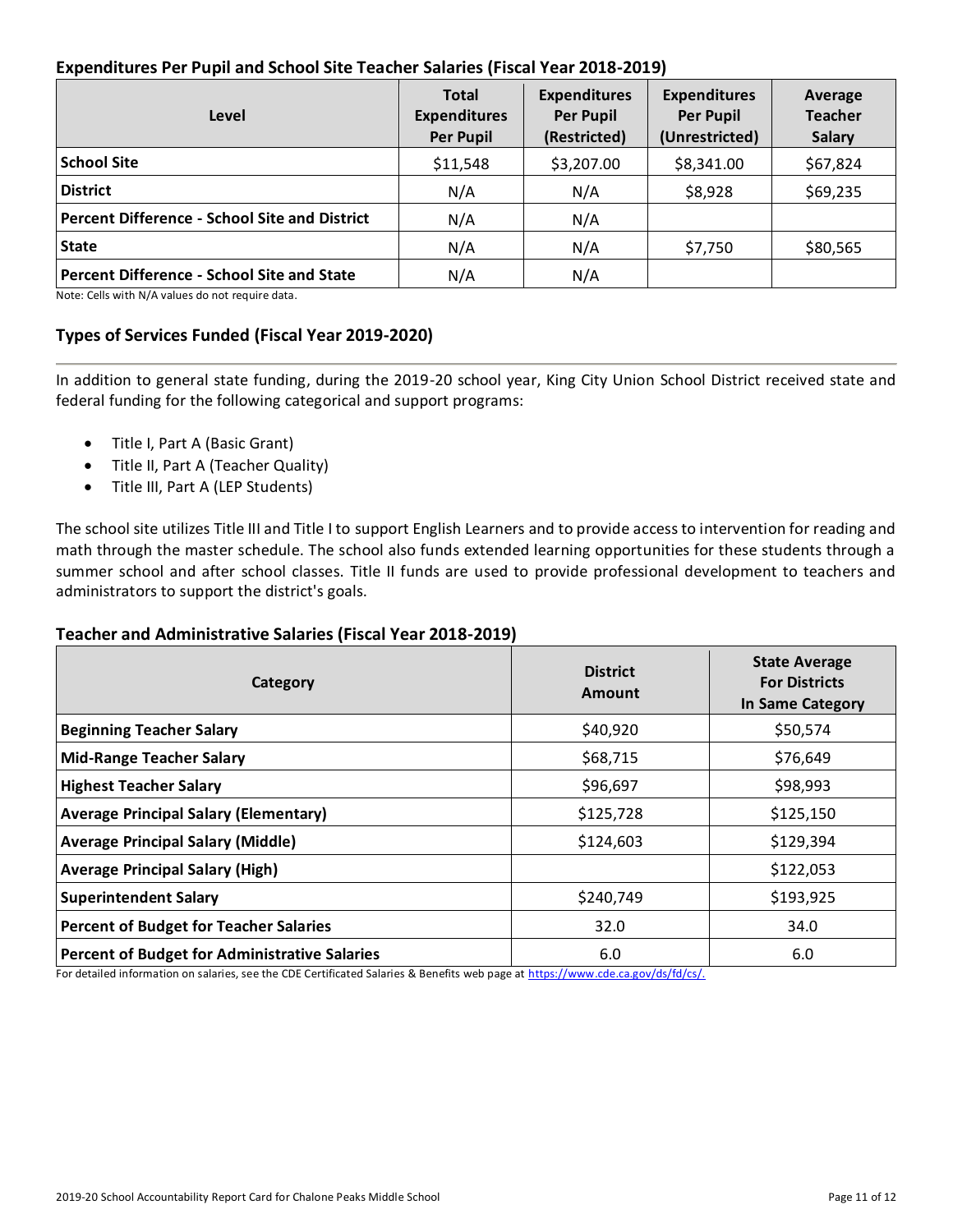# **Expenditures Per Pupil and School Site Teacher Salaries (Fiscal Year 2018-2019)**

| Level                                                | <b>Total</b><br><b>Expenditures</b><br><b>Per Pupil</b> | <b>Expenditures</b><br><b>Per Pupil</b><br>(Restricted) | <b>Expenditures</b><br><b>Per Pupil</b><br>(Unrestricted) | Average<br><b>Teacher</b><br><b>Salary</b> |
|------------------------------------------------------|---------------------------------------------------------|---------------------------------------------------------|-----------------------------------------------------------|--------------------------------------------|
| <b>School Site</b>                                   | \$11,548                                                | \$3,207.00                                              | \$8,341.00                                                | \$67,824                                   |
| <b>District</b>                                      | N/A                                                     | N/A                                                     | \$8,928                                                   | \$69,235                                   |
| <b>Percent Difference - School Site and District</b> | N/A                                                     | N/A                                                     |                                                           |                                            |
| <b>State</b>                                         | N/A                                                     | N/A                                                     | \$7,750                                                   | \$80,565                                   |
| <b>Percent Difference - School Site and State</b>    | N/A                                                     | N/A                                                     |                                                           |                                            |

Note: Cells with N/A values do not require data.

### **Types of Services Funded (Fiscal Year 2019-2020)**

In addition to general state funding, during the 2019-20 school year, King City Union School District received state and federal funding for the following categorical and support programs:

- Title I, Part A (Basic Grant)
- Title II, Part A (Teacher Quality)
- Title III, Part A (LEP Students)

The school site utilizes Title III and Title I to support English Learners and to provide access to intervention for reading and math through the master schedule. The school also funds extended learning opportunities for these students through a summer school and after school classes. Title II funds are used to provide professional development to teachers and administrators to support the district's goals.

### **Teacher and Administrative Salaries (Fiscal Year 2018-2019)**

| Category                                             | <b>District</b><br>Amount | <b>State Average</b><br><b>For Districts</b><br>In Same Category |
|------------------------------------------------------|---------------------------|------------------------------------------------------------------|
| <b>Beginning Teacher Salary</b>                      | \$40,920                  | \$50,574                                                         |
| <b>Mid-Range Teacher Salary</b>                      | \$68,715                  | \$76,649                                                         |
| <b>Highest Teacher Salary</b>                        | \$96,697                  | \$98,993                                                         |
| <b>Average Principal Salary (Elementary)</b>         | \$125,728                 | \$125,150                                                        |
| <b>Average Principal Salary (Middle)</b>             | \$124,603                 | \$129,394                                                        |
| <b>Average Principal Salary (High)</b>               |                           | \$122,053                                                        |
| <b>Superintendent Salary</b>                         | \$240,749                 | \$193,925                                                        |
| <b>Percent of Budget for Teacher Salaries</b>        | 32.0                      | 34.0                                                             |
| <b>Percent of Budget for Administrative Salaries</b> | 6.0                       | 6.0                                                              |

For detailed information on salaries, see the CDE Certificated Salaries & Benefits web page at [https://www.cde.ca.gov/ds/fd/cs/.](https://www.cde.ca.gov/ds/fd/cs/)